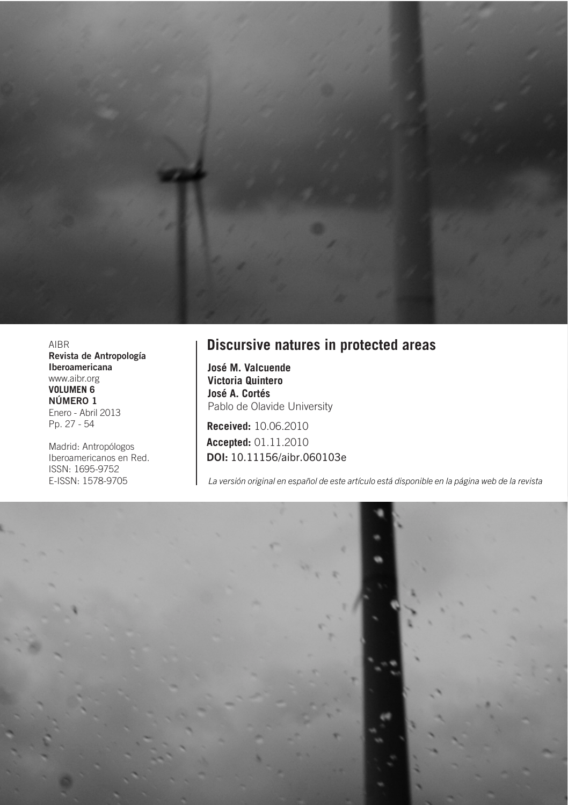

AIBR Revista de Antropología Iberoamericana www.aibr.org **VOLUMEN 6 NÚMERO 1** Enero - Abril 2013 Pp. 27 - 54

Madrid: Antropólogos Iberoamericanos en Red. ISSN: 1695-9752 E-ISSN: 1578-9705

#### **Discursive natures in protected areas**

**José M. Valcuende Victoria Quintero José A. Cortés** Pablo de Olavide University

**Received:** 10.06.2010 **Accepted:** 01.11.2010 DOI: 10.11156/aibr.060103e

La versión original en español de este artículo está disponible en la página web de la revista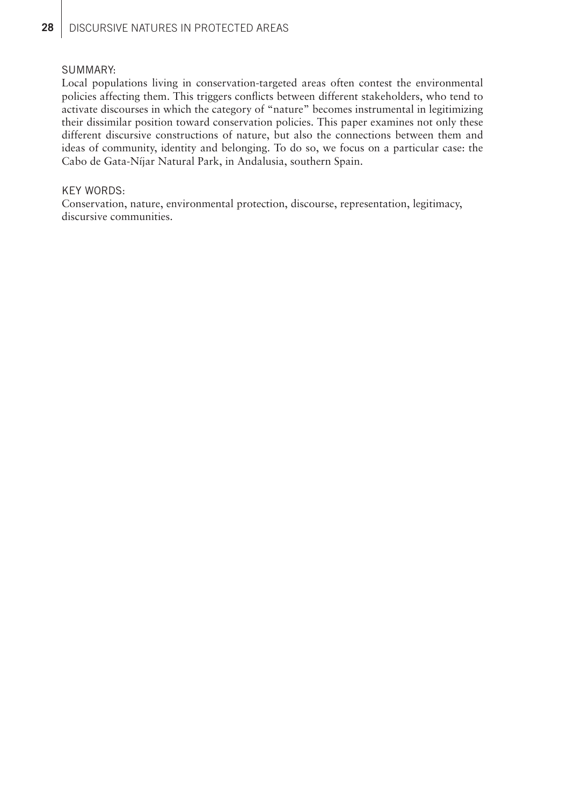#### SUMMARY:

Local populations living in conservation-targeted areas often contest the environmental policies affecting them. This triggers conflicts between different stakeholders, who tend to activate discourses in which the category of "nature" becomes instrumental in legitimizing their dissimilar position toward conservation policies. This paper examines not only these different discursive constructions of nature, but also the connections between them and ideas of community, identity and belonging. To do so, we focus on a particular case: the Cabo de Gata-Níjar Natural Park, in Andalusia, southern Spain.

#### KEY WORDS:

Conservation, nature, environmental protection, discourse, representation, legitimacy, discursive communities.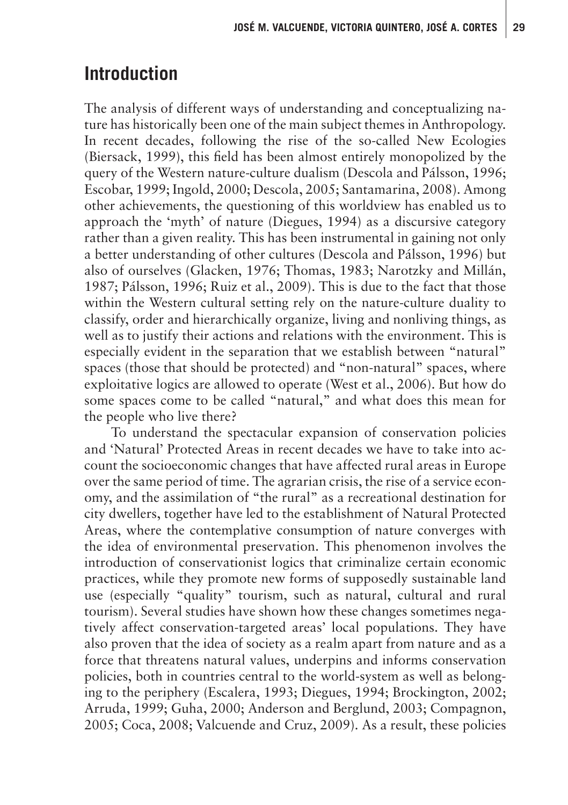# **Introduction**

The analysis of different ways of understanding and conceptualizing nature has historically been one of the main subject themes in Anthropology. In recent decades, following the rise of the so-called New Ecologies (Biersack, 1999), this field has been almost entirely monopolized by the query of the Western nature-culture dualism (Descola and Pálsson, 1996; Escobar, 1999; Ingold, 2000; Descola, 2005; Santamarina, 2008). Among other achievements, the questioning of this worldview has enabled us to approach the 'myth' of nature (Diegues, 1994) as a discursive category rather than a given reality. This has been instrumental in gaining not only a better understanding of other cultures (Descola and Pálsson, 1996) but also of ourselves (Glacken, 1976; Thomas, 1983; Narotzky and Millán, 1987; Pálsson, 1996; Ruiz et al., 2009). This is due to the fact that those within the Western cultural setting rely on the nature-culture duality to classify, order and hierarchically organize, living and nonliving things, as well as to justify their actions and relations with the environment. This is especially evident in the separation that we establish between "natural" spaces (those that should be protected) and "non-natural" spaces, where exploitative logics are allowed to operate (West et al., 2006). But how do some spaces come to be called "natural," and what does this mean for the people who live there?

To understand the spectacular expansion of conservation policies and 'Natural' Protected Areas in recent decades we have to take into account the socioeconomic changes that have affected rural areas in Europe over the same period of time. The agrarian crisis, the rise of a service economy, and the assimilation of "the rural" as a recreational destination for city dwellers, together have led to the establishment of Natural Protected Areas, where the contemplative consumption of nature converges with the idea of environmental preservation. This phenomenon involves the introduction of conservationist logics that criminalize certain economic practices, while they promote new forms of supposedly sustainable land use (especially "quality" tourism, such as natural, cultural and rural tourism). Several studies have shown how these changes sometimes negatively affect conservation-targeted areas' local populations. They have also proven that the idea of society as a realm apart from nature and as a force that threatens natural values, underpins and informs conservation policies, both in countries central to the world-system as well as belonging to the periphery (Escalera, 1993; Diegues, 1994; Brockington, 2002; Arruda, 1999; Guha, 2000; Anderson and Berglund, 2003; Compagnon, 2005; Coca, 2008; Valcuende and Cruz, 2009). As a result, these policies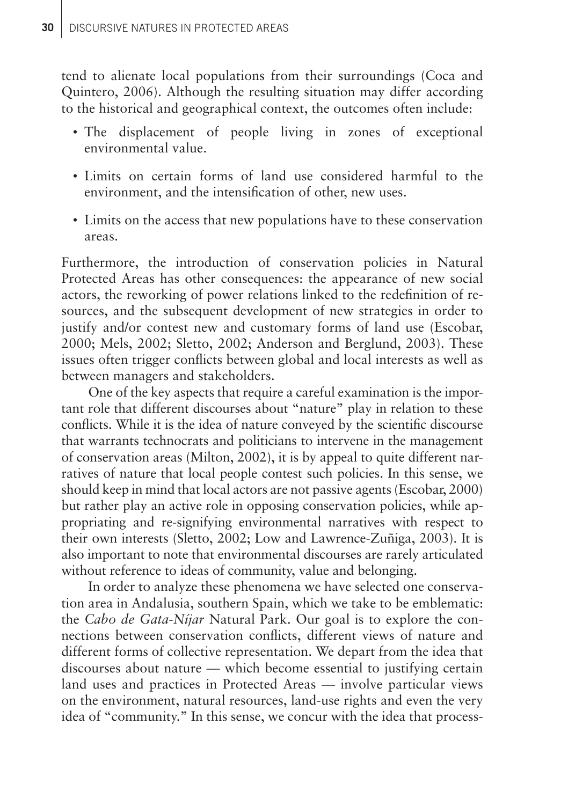tend to alienate local populations from their surroundings (Coca and Quintero, 2006). Although the resulting situation may differ according to the historical and geographical context, the outcomes often include:

- The displacement of people living in zones of exceptional environmental value.
- Limits on certain forms of land use considered harmful to the environment, and the intensification of other, new uses.
- Limits on the access that new populations have to these conservation areas.

Furthermore, the introduction of conservation policies in Natural Protected Areas has other consequences: the appearance of new social actors, the reworking of power relations linked to the redefinition of resources, and the subsequent development of new strategies in order to justify and/or contest new and customary forms of land use (Escobar, 2000; Mels, 2002; Sletto, 2002; Anderson and Berglund, 2003). These issues often trigger conflicts between global and local interests as well as between managers and stakeholders.

One of the key aspects that require a careful examination is the important role that different discourses about "nature" play in relation to these conflicts. While it is the idea of nature conveyed by the scientific discourse that warrants technocrats and politicians to intervene in the management of conservation areas (Milton, 2002), it is by appeal to quite different narratives of nature that local people contest such policies. In this sense, we should keep in mind that local actors are not passive agents (Escobar, 2000) but rather play an active role in opposing conservation policies, while appropriating and re-signifying environmental narratives with respect to their own interests (Sletto, 2002; Low and Lawrence-Zuñiga, 2003). It is also important to note that environmental discourses are rarely articulated without reference to ideas of community, value and belonging.

In order to analyze these phenomena we have selected one conservation area in Andalusia, southern Spain, which we take to be emblematic: the *Cabo de Gata-Níjar* Natural Park. Our goal is to explore the connections between conservation conflicts, different views of nature and different forms of collective representation. We depart from the idea that discourses about nature — which become essential to justifying certain land uses and practices in Protected Areas — involve particular views on the environment, natural resources, land-use rights and even the very idea of "community." In this sense, we concur with the idea that process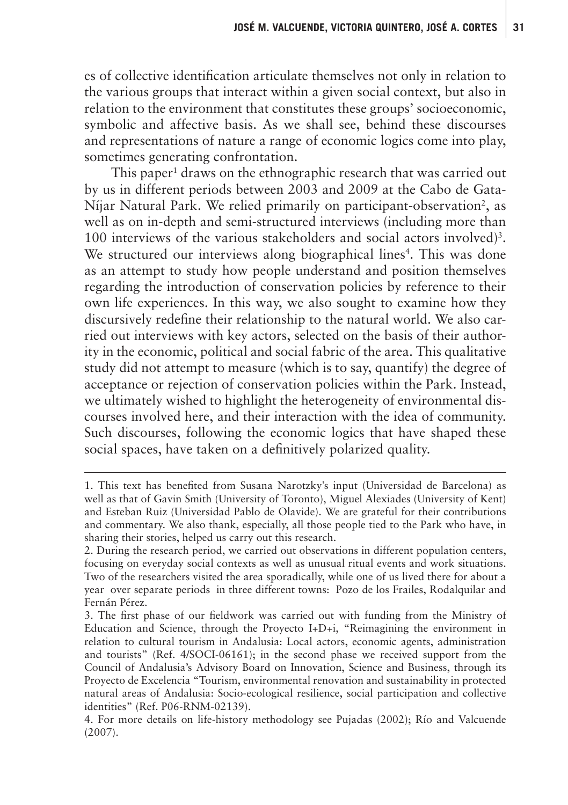es of collective identification articulate themselves not only in relation to the various groups that interact within a given social context, but also in relation to the environment that constitutes these groups' socioeconomic, symbolic and affective basis. As we shall see, behind these discourses and representations of nature a range of economic logics come into play, sometimes generating confrontation.

This paper<sup>1</sup> draws on the ethnographic research that was carried out by us in different periods between 2003 and 2009 at the Cabo de Gata-Níjar Natural Park. We relied primarily on participant-observation<sup>2</sup>, as well as on in-depth and semi-structured interviews (including more than 100 interviews of the various stakeholders and social actors involved)<sup>3</sup>. We structured our interviews along biographical lines<sup>4</sup>. This was done as an attempt to study how people understand and position themselves regarding the introduction of conservation policies by reference to their own life experiences. In this way, we also sought to examine how they discursively redefine their relationship to the natural world. We also carried out interviews with key actors, selected on the basis of their authority in the economic, political and social fabric of the area. This qualitative study did not attempt to measure (which is to say, quantify) the degree of acceptance or rejection of conservation policies within the Park. Instead, we ultimately wished to highlight the heterogeneity of environmental discourses involved here, and their interaction with the idea of community. Such discourses, following the economic logics that have shaped these social spaces, have taken on a definitively polarized quality.

<sup>1.</sup> This text has benefited from Susana Narotzky's input (Universidad de Barcelona) as well as that of Gavin Smith (University of Toronto), Miguel Alexiades (University of Kent) and Esteban Ruiz (Universidad Pablo de Olavide). We are grateful for their contributions and commentary. We also thank, especially, all those people tied to the Park who have, in sharing their stories, helped us carry out this research.

<sup>2.</sup> During the research period, we carried out observations in different population centers, focusing on everyday social contexts as well as unusual ritual events and work situations. Two of the researchers visited the area sporadically, while one of us lived there for about a year over separate periods in three different towns: Pozo de los Frailes, Rodalquilar and Fernán Pérez.

<sup>3.</sup> The first phase of our fieldwork was carried out with funding from the Ministry of Education and Science, through the Proyecto I+D+i, "Reimagining the environment in relation to cultural tourism in Andalusia: Local actors, economic agents, administration and tourists" (Ref. 4/SOCI-06161); in the second phase we received support from the Council of Andalusia's Advisory Board on Innovation, Science and Business, through its Proyecto de Excelencia "Tourism, environmental renovation and sustainability in protected natural areas of Andalusia: Socio-ecological resilience, social participation and collective identities" (Ref. P06-RNM-02139).

<sup>4.</sup> For more details on life-history methodology see Pujadas (2002); Río and Valcuende (2007).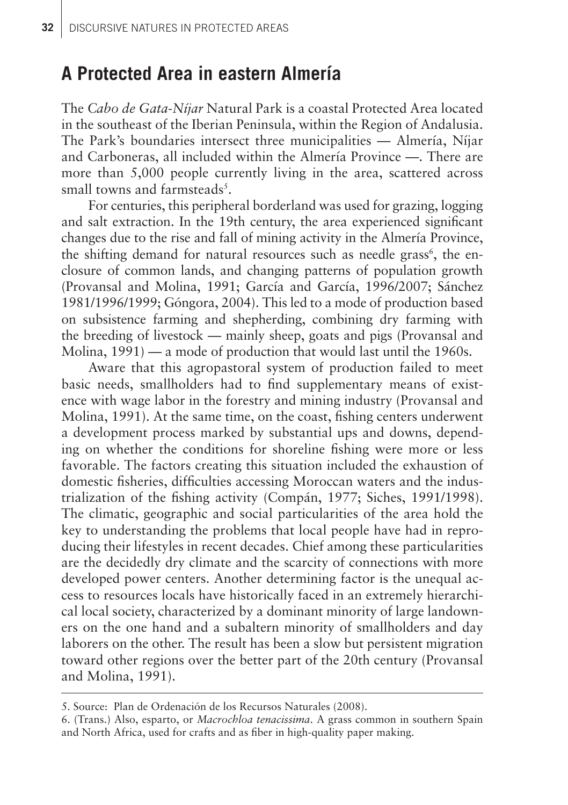## **A Protected Area in eastern Almería**

The *Cabo de Gata-Níjar* Natural Park is a coastal Protected Area located in the southeast of the Iberian Peninsula, within the Region of Andalusia. The Park's boundaries intersect three municipalities — Almería, Níjar and Carboneras, all included within the Almería Province —. There are more than 5,000 people currently living in the area, scattered across small towns and farmsteads<sup>5</sup>.

For centuries, this peripheral borderland was used for grazing, logging and salt extraction. In the 19th century, the area experienced significant changes due to the rise and fall of mining activity in the Almería Province, the shifting demand for natural resources such as needle grass<sup>6</sup>, the enclosure of common lands, and changing patterns of population growth (Provansal and Molina, 1991; García and García, 1996/2007; Sánchez 1981/1996/1999; Góngora, 2004). This led to a mode of production based on subsistence farming and shepherding, combining dry farming with the breeding of livestock — mainly sheep, goats and pigs (Provansal and Molina, 1991) — a mode of production that would last until the 1960s.

Aware that this agropastoral system of production failed to meet basic needs, smallholders had to find supplementary means of existence with wage labor in the forestry and mining industry (Provansal and Molina, 1991). At the same time, on the coast, fishing centers underwent a development process marked by substantial ups and downs, depending on whether the conditions for shoreline fishing were more or less favorable. The factors creating this situation included the exhaustion of domestic fisheries, difficulties accessing Moroccan waters and the industrialization of the fishing activity (Compán, 1977; Siches, 1991/1998). The climatic, geographic and social particularities of the area hold the key to understanding the problems that local people have had in reproducing their lifestyles in recent decades. Chief among these particularities are the decidedly dry climate and the scarcity of connections with more developed power centers. Another determining factor is the unequal access to resources locals have historically faced in an extremely hierarchical local society, characterized by a dominant minority of large landowners on the one hand and a subaltern minority of smallholders and day laborers on the other. The result has been a slow but persistent migration toward other regions over the better part of the 20th century (Provansal and Molina, 1991).

<sup>5.</sup> Source: Plan de Ordenación de los Recursos Naturales (2008).

<sup>6. (</sup>Trans.) Also, esparto, or *Macrochloa tenacissima*. A grass common in southern Spain and North Africa, used for crafts and as fiber in high-quality paper making.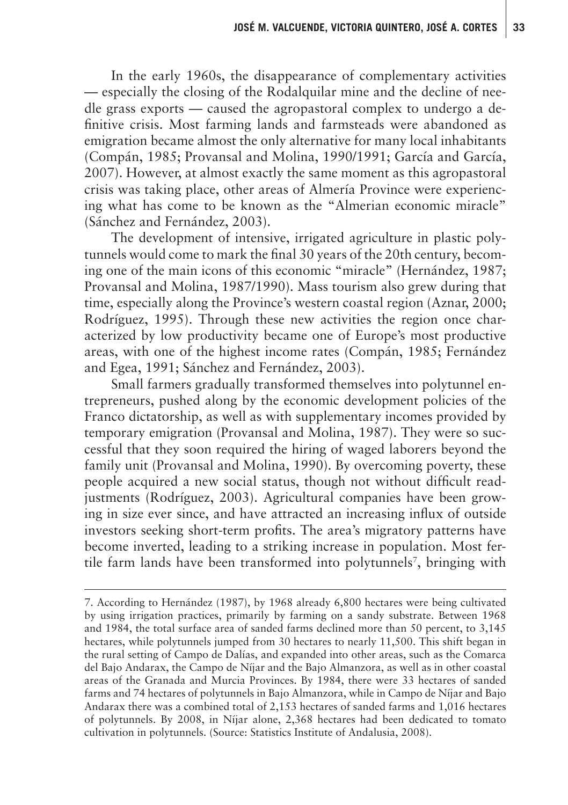In the early 1960s, the disappearance of complementary activities — especially the closing of the Rodalquilar mine and the decline of needle grass exports — caused the agropastoral complex to undergo a definitive crisis. Most farming lands and farmsteads were abandoned as emigration became almost the only alternative for many local inhabitants (Compán, 1985; Provansal and Molina, 1990/1991; García and García, 2007). However, at almost exactly the same moment as this agropastoral crisis was taking place, other areas of Almería Province were experiencing what has come to be known as the "Almerian economic miracle" (Sánchez and Fernández, 2003).

The development of intensive, irrigated agriculture in plastic polytunnels would come to mark the final 30 years of the 20th century, becoming one of the main icons of this economic "miracle" (Hernández, 1987; Provansal and Molina, 1987/1990). Mass tourism also grew during that time, especially along the Province's western coastal region (Aznar, 2000; Rodríguez, 1995). Through these new activities the region once characterized by low productivity became one of Europe's most productive areas, with one of the highest income rates (Compán, 1985; Fernández and Egea, 1991; Sánchez and Fernández, 2003).

Small farmers gradually transformed themselves into polytunnel entrepreneurs, pushed along by the economic development policies of the Franco dictatorship, as well as with supplementary incomes provided by temporary emigration (Provansal and Molina, 1987). They were so successful that they soon required the hiring of waged laborers beyond the family unit (Provansal and Molina, 1990). By overcoming poverty, these people acquired a new social status, though not without difficult readjustments (Rodríguez, 2003). Agricultural companies have been growing in size ever since, and have attracted an increasing influx of outside investors seeking short-term profits. The area's migratory patterns have become inverted, leading to a striking increase in population. Most fertile farm lands have been transformed into polytunnels<sup>7</sup>, bringing with

<sup>7.</sup> According to Hernández (1987), by 1968 already 6,800 hectares were being cultivated by using irrigation practices, primarily by farming on a sandy substrate. Between 1968 and 1984, the total surface area of sanded farms declined more than 50 percent, to 3,145 hectares, while polytunnels jumped from 30 hectares to nearly 11,500. This shift began in the rural setting of Campo de Dalías, and expanded into other areas, such as the Comarca del Bajo Andarax, the Campo de Níjar and the Bajo Almanzora, as well as in other coastal areas of the Granada and Murcia Provinces. By 1984, there were 33 hectares of sanded farms and 74 hectares of polytunnels in Bajo Almanzora, while in Campo de Níjar and Bajo Andarax there was a combined total of 2,153 hectares of sanded farms and 1,016 hectares of polytunnels. By 2008, in Níjar alone, 2,368 hectares had been dedicated to tomato cultivation in polytunnels. (Source: Statistics Institute of Andalusia, 2008).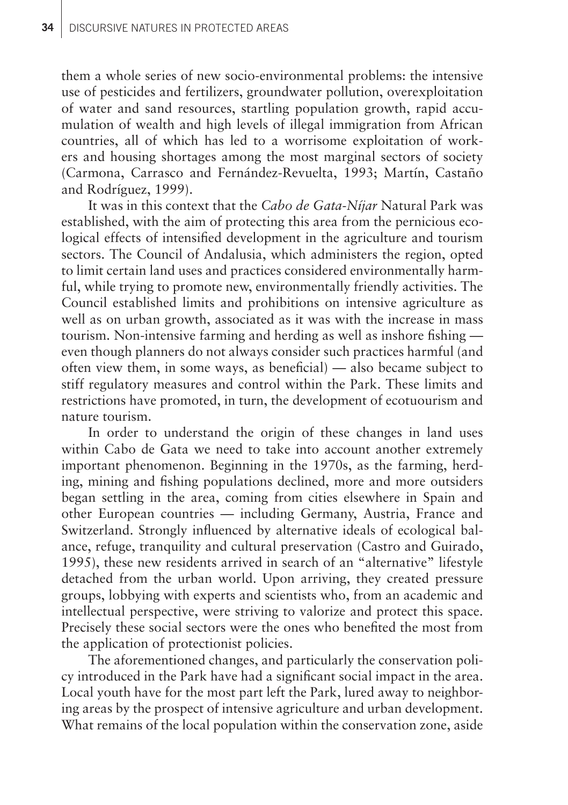them a whole series of new socio-environmental problems: the intensive use of pesticides and fertilizers, groundwater pollution, overexploitation of water and sand resources, startling population growth, rapid accumulation of wealth and high levels of illegal immigration from African countries, all of which has led to a worrisome exploitation of workers and housing shortages among the most marginal sectors of society (Carmona, Carrasco and Fernández-Revuelta, 1993; Martín, Castaño and Rodríguez, 1999).

It was in this context that the *Cabo de Gata-Níjar* Natural Park was established, with the aim of protecting this area from the pernicious ecological effects of intensified development in the agriculture and tourism sectors. The Council of Andalusia, which administers the region, opted to limit certain land uses and practices considered environmentally harmful, while trying to promote new, environmentally friendly activities. The Council established limits and prohibitions on intensive agriculture as well as on urban growth, associated as it was with the increase in mass tourism. Non-intensive farming and herding as well as inshore fishing even though planners do not always consider such practices harmful (and often view them, in some ways, as beneficial) — also became subject to stiff regulatory measures and control within the Park. These limits and restrictions have promoted, in turn, the development of ecotuourism and nature tourism.

In order to understand the origin of these changes in land uses within Cabo de Gata we need to take into account another extremely important phenomenon. Beginning in the 1970s, as the farming, herding, mining and fishing populations declined, more and more outsiders began settling in the area, coming from cities elsewhere in Spain and other European countries — including Germany, Austria, France and Switzerland. Strongly influenced by alternative ideals of ecological balance, refuge, tranquility and cultural preservation (Castro and Guirado, 1995), these new residents arrived in search of an "alternative" lifestyle detached from the urban world. Upon arriving, they created pressure groups, lobbying with experts and scientists who, from an academic and intellectual perspective, were striving to valorize and protect this space. Precisely these social sectors were the ones who benefited the most from the application of protectionist policies.

The aforementioned changes, and particularly the conservation policy introduced in the Park have had a significant social impact in the area. Local youth have for the most part left the Park, lured away to neighboring areas by the prospect of intensive agriculture and urban development. What remains of the local population within the conservation zone, aside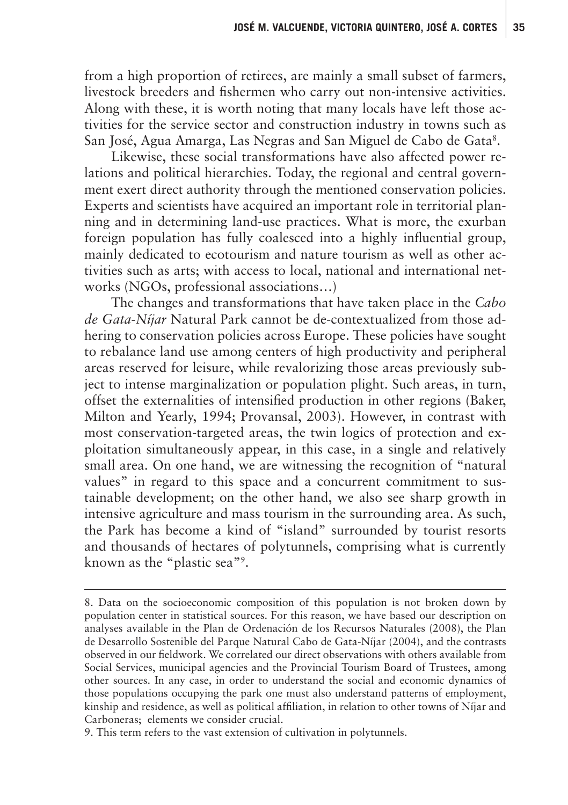from a high proportion of retirees, are mainly a small subset of farmers, livestock breeders and fishermen who carry out non-intensive activities. Along with these, it is worth noting that many locals have left those activities for the service sector and construction industry in towns such as San José, Agua Amarga, Las Negras and San Miguel de Cabo de Gata<sup>s</sup>.

Likewise, these social transformations have also affected power relations and political hierarchies. Today, the regional and central government exert direct authority through the mentioned conservation policies. Experts and scientists have acquired an important role in territorial planning and in determining land-use practices. What is more, the exurban foreign population has fully coalesced into a highly influential group, mainly dedicated to ecotourism and nature tourism as well as other activities such as arts; with access to local, national and international networks (NGOs, professional associations…)

The changes and transformations that have taken place in the *Cabo de Gata-Níjar* Natural Park cannot be de-contextualized from those adhering to conservation policies across Europe. These policies have sought to rebalance land use among centers of high productivity and peripheral areas reserved for leisure, while revalorizing those areas previously subject to intense marginalization or population plight. Such areas, in turn, offset the externalities of intensified production in other regions (Baker, Milton and Yearly, 1994; Provansal, 2003). However, in contrast with most conservation-targeted areas, the twin logics of protection and exploitation simultaneously appear, in this case, in a single and relatively small area. On one hand, we are witnessing the recognition of "natural values" in regard to this space and a concurrent commitment to sustainable development; on the other hand, we also see sharp growth in intensive agriculture and mass tourism in the surrounding area. As such, the Park has become a kind of "island" surrounded by tourist resorts and thousands of hectares of polytunnels, comprising what is currently known as the "plastic sea"9 .

9. This term refers to the vast extension of cultivation in polytunnels.

<sup>8.</sup> Data on the socioeconomic composition of this population is not broken down by population center in statistical sources. For this reason, we have based our description on analyses available in the Plan de Ordenación de los Recursos Naturales (2008), the Plan de Desarrollo Sostenible del Parque Natural Cabo de Gata-Níjar (2004), and the contrasts observed in our fieldwork. We correlated our direct observations with others available from Social Services, municipal agencies and the Provincial Tourism Board of Trustees, among other sources. In any case, in order to understand the social and economic dynamics of those populations occupying the park one must also understand patterns of employment, kinship and residence, as well as political affiliation, in relation to other towns of Níjar and Carboneras; elements we consider crucial.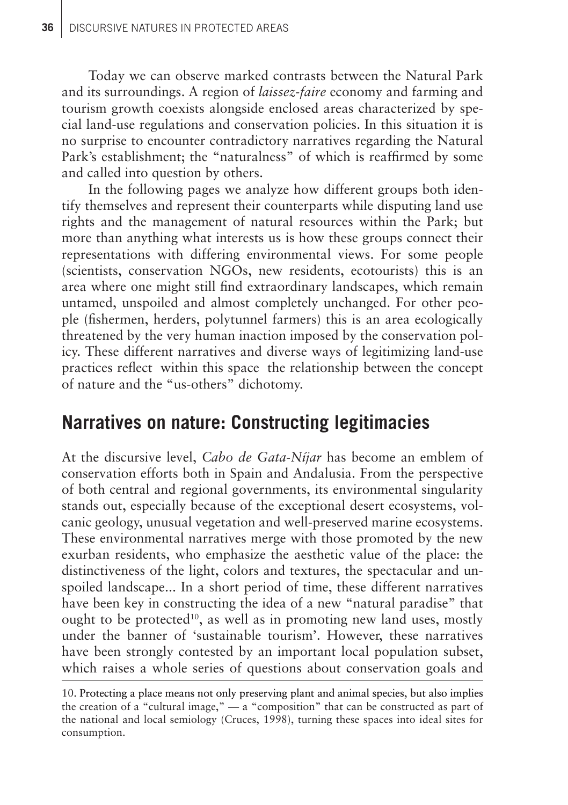Today we can observe marked contrasts between the Natural Park and its surroundings. A region of *laissez-faire* economy and farming and tourism growth coexists alongside enclosed areas characterized by special land-use regulations and conservation policies. In this situation it is no surprise to encounter contradictory narratives regarding the Natural Park's establishment; the "naturalness" of which is reaffirmed by some and called into question by others.

In the following pages we analyze how different groups both identify themselves and represent their counterparts while disputing land use rights and the management of natural resources within the Park; but more than anything what interests us is how these groups connect their representations with differing environmental views. For some people (scientists, conservation NGOs, new residents, ecotourists) this is an area where one might still find extraordinary landscapes, which remain untamed, unspoiled and almost completely unchanged. For other people (fishermen, herders, polytunnel farmers) this is an area ecologically threatened by the very human inaction imposed by the conservation policy. These different narratives and diverse ways of legitimizing land-use practices reflect within this space the relationship between the concept of nature and the "us-others" dichotomy.

#### **Narratives on nature: Constructing legitimacies**

At the discursive level, *Cabo de Gata-Níjar* has become an emblem of conservation efforts both in Spain and Andalusia. From the perspective of both central and regional governments, its environmental singularity stands out, especially because of the exceptional desert ecosystems, volcanic geology, unusual vegetation and well-preserved marine ecosystems. These environmental narratives merge with those promoted by the new exurban residents, who emphasize the aesthetic value of the place: the distinctiveness of the light, colors and textures, the spectacular and unspoiled landscape... In a short period of time, these different narratives have been key in constructing the idea of a new "natural paradise" that ought to be protected<sup>10</sup>, as well as in promoting new land uses, mostly under the banner of 'sustainable tourism'. However, these narratives have been strongly contested by an important local population subset. which raises a whole series of questions about conservation goals and

<sup>10.</sup> Protecting a place means not only preserving plant and animal species, but also implies . the creation of a "cultural image," — a "composition" that can be constructed as part of the national and local semiology (Cruces, 1998), turning these spaces into ideal sites for consumption.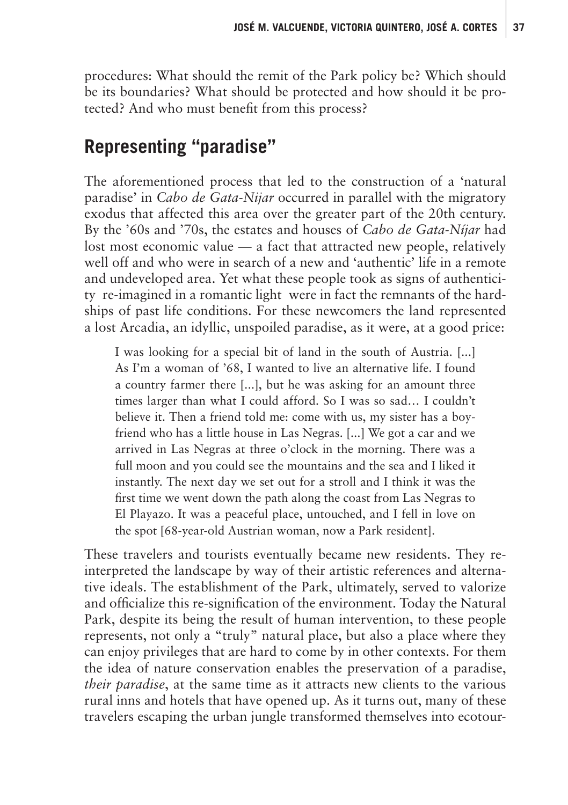procedures: What should the remit of the Park policy be? Which should be its boundaries? What should be protected and how should it be protected? And who must benefit from this process?

## **Representing "paradise"**

The aforementioned process that led to the construction of a 'natural paradise' in *Cabo de Gata-Nijar* occurred in parallel with the migratory exodus that affected this area over the greater part of the 20th century. By the '60s and '70s, the estates and houses of *Cabo de Gata-Níjar* had lost most economic value — a fact that attracted new people, relatively well off and who were in search of a new and 'authentic' life in a remote and undeveloped area. Yet what these people took as signs of authenticity re-imagined in a romantic light—were in fact the remnants of the hardships of past life conditions. For these newcomers the land represented a lost Arcadia, an idyllic, unspoiled paradise, as it were, at a good price:

I was looking for a special bit of land in the south of Austria. [...] As I'm a woman of '68, I wanted to live an alternative life. I found a country farmer there [...], but he was asking for an amount three times larger than what I could afford. So I was so sad… I couldn't believe it. Then a friend told me: come with us, my sister has a boyfriend who has a little house in Las Negras. [...] We got a car and we arrived in Las Negras at three o'clock in the morning. There was a full moon and you could see the mountains and the sea and I liked it instantly. The next day we set out for a stroll and I think it was the first time we went down the path along the coast from Las Negras to El Playazo. It was a peaceful place, untouched, and I fell in love on the spot [68-year-old Austrian woman, now a Park resident].

These travelers and tourists eventually became new residents. They reinterpreted the landscape by way of their artistic references and alternative ideals. The establishment of the Park, ultimately, served to valorize and officialize this re-signification of the environment. Today the Natural Park, despite its being the result of human intervention, to these people represents, not only a "truly" natural place, but also a place where they can enjoy privileges that are hard to come by in other contexts. For them the idea of nature conservation enables the preservation of a paradise, *their paradise*, at the same time as it attracts new clients to the various rural inns and hotels that have opened up. As it turns out, many of these travelers escaping the urban jungle transformed themselves into ecotour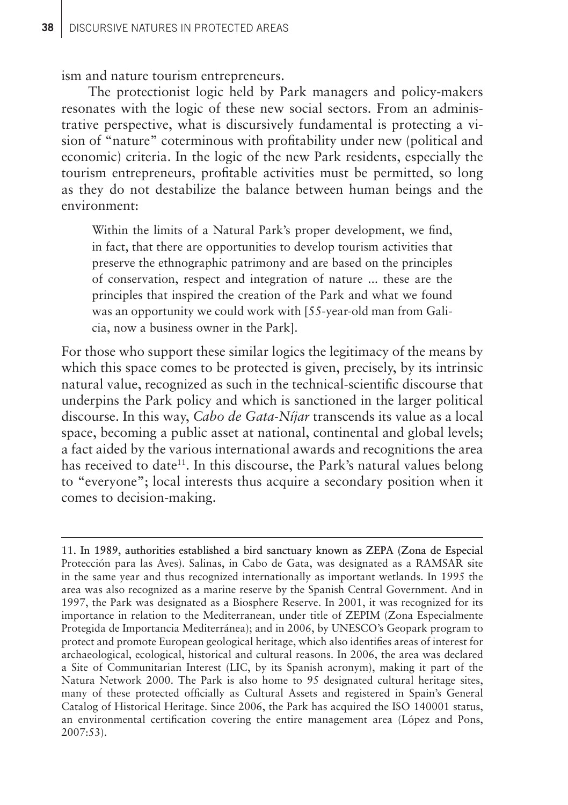ism and nature tourism entrepreneurs.

The protectionist logic held by Park managers and policy-makers resonates with the logic of these new social sectors. From an administrative perspective, what is discursively fundamental is protecting a vision of "nature" coterminous with profitability under new (political and economic) criteria. In the logic of the new Park residents, especially the tourism entrepreneurs, profitable activities must be permitted, so long as they do not destabilize the balance between human beings and the environment:

Within the limits of a Natural Park's proper development, we find, in fact, that there are opportunities to develop tourism activities that preserve the ethnographic patrimony and are based on the principles of conservation, respect and integration of nature ... these are the principles that inspired the creation of the Park and what we found was an opportunity we could work with [55-year-old man from Galicia, now a business owner in the Park].

For those who support these similar logics the legitimacy of the means by which this space comes to be protected is given, precisely, by its intrinsic natural value, recognized as such in the technical-scientific discourse that underpins the Park policy and which is sanctioned in the larger political discourse. In this way, *Cabo de Gata-Níjar* transcends its value as a local space, becoming a public asset at national, continental and global levels; a fact aided by the various international awards and recognitions the area has received to date<sup>11</sup>. In this discourse, the Park's natural values belong to "everyone"; local interests thus acquire a secondary position when it comes to decision-making.

11. In 1989, authorities established a bird sanctuary known as ZEPA (Zona de Especial . Protección para las Aves). Salinas, in Cabo de Gata, was designated as a RAMSAR site in the same year and thus recognized internationally as important wetlands. In 1995 the area was also recognized as a marine reserve by the Spanish Central Government. And in 1997, the Park was designated as a Biosphere Reserve. In 2001, it was recognized for its importance in relation to the Mediterranean, under title of ZEPIM (Zona Especialmente Protegida de Importancia Mediterránea); and in 2006, by UNESCO's Geopark program to protect and promote European geological heritage, which also identifies areas of interest for archaeological, ecological, historical and cultural reasons. In 2006, the area was declared a Site of Communitarian Interest (LIC, by its Spanish acronym), making it part of the Natura Network 2000. The Park is also home to 95 designated cultural heritage sites, many of these protected officially as Cultural Assets and registered in Spain's General Catalog of Historical Heritage. Since 2006, the Park has acquired the ISO 140001 status, an environmental certification covering the entire management area (López and Pons, 2007:53).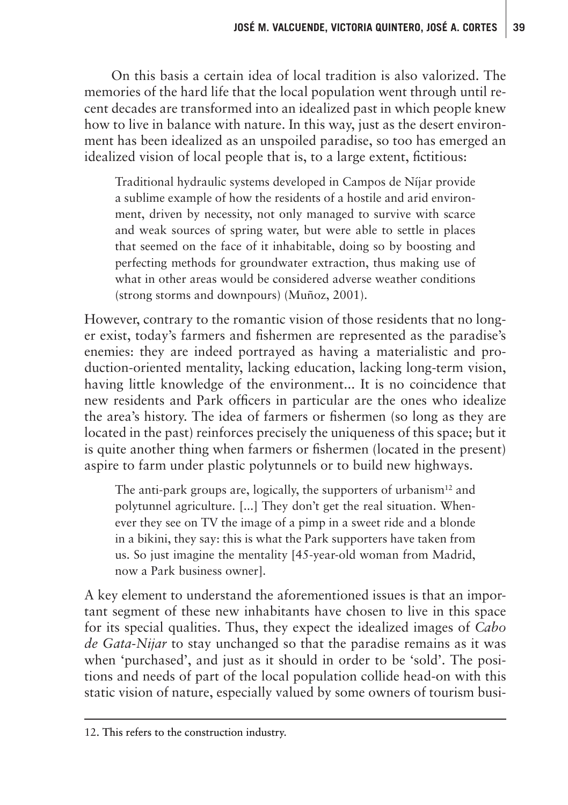On this basis a certain idea of local tradition is also valorized. The memories of the hard life that the local population went through until recent decades are transformed into an idealized past in which people knew how to live in balance with nature. In this way, just as the desert environment has been idealized as an unspoiled paradise, so too has emerged an idealized vision of local people that is, to a large extent, fictitious:

Traditional hydraulic systems developed in Campos de Níjar provide a sublime example of how the residents of a hostile and arid environment, driven by necessity, not only managed to survive with scarce and weak sources of spring water, but were able to settle in places that seemed on the face of it inhabitable, doing so by boosting and perfecting methods for groundwater extraction, thus making use of what in other areas would be considered adverse weather conditions (strong storms and downpours) (Muñoz, 2001).

However, contrary to the romantic vision of those residents that no longer exist, today's farmers and fishermen are represented as the paradise's enemies: they are indeed portrayed as having a materialistic and production-oriented mentality, lacking education, lacking long-term vision, having little knowledge of the environment... It is no coincidence that new residents and Park officers in particular are the ones who idealize the area's history. The idea of farmers or fishermen (so long as they are located in the past) reinforces precisely the uniqueness of this space; but it is quite another thing when farmers or fishermen (located in the present) aspire to farm under plastic polytunnels or to build new highways.

The anti-park groups are, logically, the supporters of urbanism<sup>12</sup> and polytunnel agriculture. [...] They don't get the real situation. Whenever they see on TV the image of a pimp in a sweet ride and a blonde in a bikini, they say: this is what the Park supporters have taken from us. So just imagine the mentality [45-year-old woman from Madrid, now a Park business owner].

A key element to understand the aforementioned issues is that an important segment of these new inhabitants have chosen to live in this space for its special qualities. Thus, they expect the idealized images of *Cabo de Gata-Nijar* to stay unchanged so that the paradise remains as it was when 'purchased', and just as it should in order to be 'sold'. The positions and needs of part of the local population collide head-on with this static vision of nature, especially valued by some owners of tourism busi-

<sup>12.</sup> This refers to the construction industry.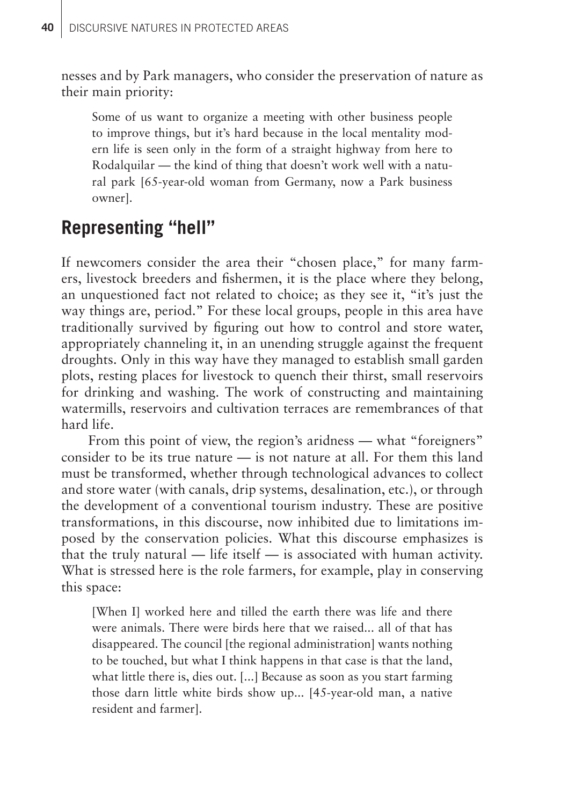nesses and by Park managers, who consider the preservation of nature as their main priority:

Some of us want to organize a meeting with other business people to improve things, but it's hard because in the local mentality modern life is seen only in the form of a straight highway from here to Rodalquilar — the kind of thing that doesn't work well with a natural park [65-year-old woman from Germany, now a Park business owner].

## **Representing "hell"**

If newcomers consider the area their "chosen place," for many farmers, livestock breeders and fishermen, it is the place where they belong, an unquestioned fact not related to choice; as they see it, "it's just the way things are, period." For these local groups, people in this area have traditionally survived by figuring out how to control and store water, appropriately channeling it, in an unending struggle against the frequent droughts. Only in this way have they managed to establish small garden plots, resting places for livestock to quench their thirst, small reservoirs for drinking and washing. The work of constructing and maintaining watermills, reservoirs and cultivation terraces are remembrances of that hard life.

From this point of view, the region's aridness — what "foreigners" consider to be its true nature — is not nature at all. For them this land must be transformed, whether through technological advances to collect and store water (with canals, drip systems, desalination, etc.), or through the development of a conventional tourism industry. These are positive transformations, in this discourse, now inhibited due to limitations imposed by the conservation policies. What this discourse emphasizes is that the truly natural — life itself — is associated with human activity. What is stressed here is the role farmers, for example, play in conserving this space:

[When I] worked here and tilled the earth there was life and there were animals. There were birds here that we raised... all of that has disappeared. The council [the regional administration] wants nothing to be touched, but what I think happens in that case is that the land, what little there is, dies out. [...] Because as soon as you start farming those darn little white birds show up... [45-year-old man, a native resident and farmer].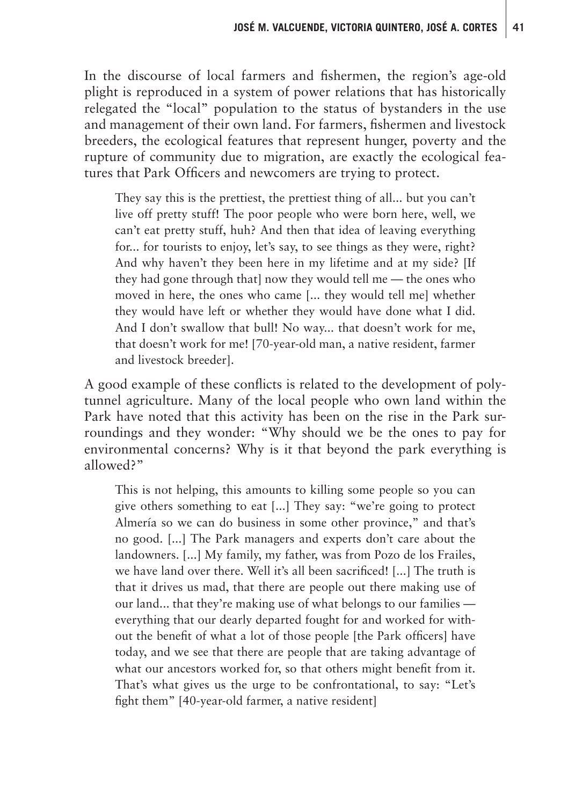In the discourse of local farmers and fishermen, the region's age-old plight is reproduced in a system of power relations that has historically relegated the "local" population to the status of bystanders in the use and management of their own land. For farmers, fishermen and livestock breeders, the ecological features that represent hunger, poverty and the rupture of community due to migration, are exactly the ecological features that Park Officers and newcomers are trying to protect.

They say this is the prettiest, the prettiest thing of all... but you can't live off pretty stuff! The poor people who were born here, well, we can't eat pretty stuff, huh? And then that idea of leaving everything for... for tourists to enjoy, let's say, to see things as they were, right? And why haven't they been here in my lifetime and at my side? [If they had gone through that] now they would tell me — the ones who moved in here, the ones who came [... they would tell me] whether they would have left or whether they would have done what I did. And I don't swallow that bull! No way... that doesn't work for me, that doesn't work for me! [70-year-old man, a native resident, farmer and livestock breeder].

A good example of these conflicts is related to the development of polytunnel agriculture. Many of the local people who own land within the Park have noted that this activity has been on the rise in the Park surroundings and they wonder: "Why should we be the ones to pay for environmental concerns? Why is it that beyond the park everything is allowed?"

This is not helping, this amounts to killing some people so you can give others something to eat [...] They say: "we're going to protect Almería so we can do business in some other province," and that's no good. [...] The Park managers and experts don't care about the landowners. [...] My family, my father, was from Pozo de los Frailes, we have land over there. Well it's all been sacrificed! [...] The truth is that it drives us mad, that there are people out there making use of our land... that they're making use of what belongs to our families everything that our dearly departed fought for and worked for without the benefit of what a lot of those people [the Park officers] have today, and we see that there are people that are taking advantage of what our ancestors worked for, so that others might benefit from it. That's what gives us the urge to be confrontational, to say: "Let's fight them" [40-year-old farmer, a native resident]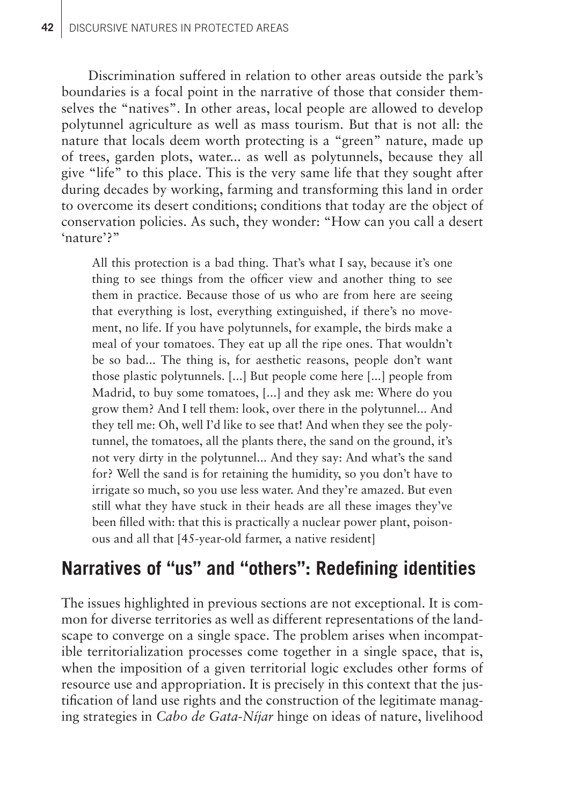Discrimination suffered in relation to other areas outside the park's boundaries is a focal point in the narrative of those that consider themselves the "natives". In other areas, local people are allowed to develop polytunnel agriculture as well as mass tourism. But that is not all: the nature that locals deem worth protecting is a "green" nature, made up of trees, garden plots, water... as well as polytunnels, because they all give "life" to this place. This is the very same life that they sought after during decades by working, farming and transforming this land in order to overcome its desert conditions; conditions that today are the object of conservation policies. As such, they wonder: "How can you call a desert 'nature'?"

All this protection is a bad thing. That's what I say, because it's one thing to see things from the officer view and another thing to see them in practice. Because those of us who are from here are seeing that everything is lost, everything extinguished, if there's no movement, no life. If you have polytunnels, for example, the birds make a meal of your tomatoes. They eat up all the ripe ones. That wouldn't be so bad... The thing is, for aesthetic reasons, people don't want those plastic polytunnels. [...] But people come here [...] people from Madrid, to buy some tomatoes, [...] and they ask me: Where do you grow them? And I tell them: look, over there in the polytunnel... And they tell me: Oh, well I'd like to see that! And when they see the polytunnel, the tomatoes, all the plants there, the sand on the ground, it's not very dirty in the polytunnel... And they say: And what's the sand for? Well the sand is for retaining the humidity, so you don't have to irrigate so much, so you use less water. And they're amazed. But even still what they have stuck in their heads are all these images they've been filled with: that this is practically a nuclear power plant, poisonous and all that [45-year-old farmer, a native resident]

# **Narratives of "us" and "others": Redefining identities**

The issues highlighted in previous sections are not exceptional. It is common for diverse territories as well as different representations of the landscape to converge on a single space. The problem arises when incompatible territorialization processes come together in a single space, that is, when the imposition of a given territorial logic excludes other forms of resource use and appropriation. It is precisely in this context that the justification of land use rights and the construction of the legitimate managing strategies in *Cabo de Gata-Níjar* hinge on ideas of nature, livelihood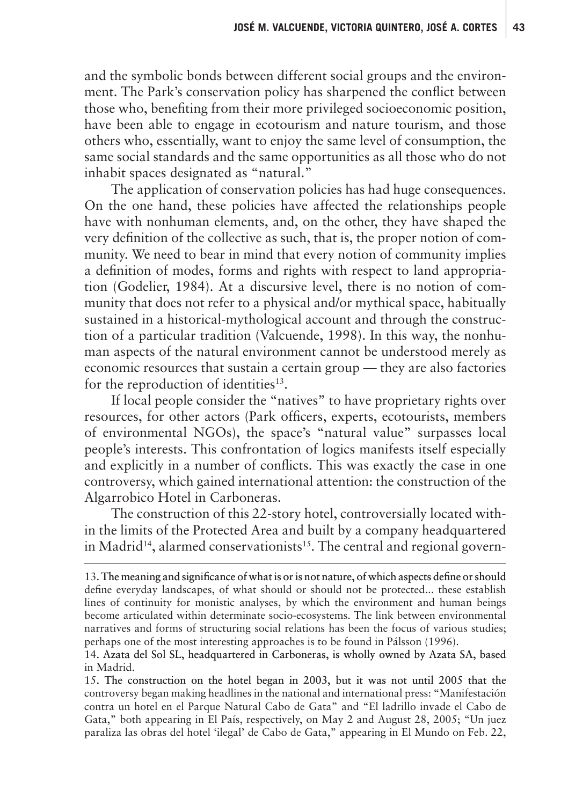and the symbolic bonds between different social groups and the environment. The Park's conservation policy has sharpened the conflict between those who, benefiting from their more privileged socioeconomic position, have been able to engage in ecotourism and nature tourism, and those others who, essentially, want to enjoy the same level of consumption, the same social standards and the same opportunities as all those who do not inhabit spaces designated as "natural."

The application of conservation policies has had huge consequences. On the one hand, these policies have affected the relationships people have with nonhuman elements, and, on the other, they have shaped the very definition of the collective as such, that is, the proper notion of community. We need to bear in mind that every notion of community implies a definition of modes, forms and rights with respect to land appropriation (Godelier, 1984). At a discursive level, there is no notion of community that does not refer to a physical and/or mythical space, habitually sustained in a historical-mythological account and through the construction of a particular tradition (Valcuende, 1998). In this way, the nonhuman aspects of the natural environment cannot be understood merely as economic resources that sustain a certain group — they are also factories for the reproduction of identities<sup>13</sup>.

If local people consider the "natives" to have proprietary rights over resources, for other actors (Park officers, experts, ecotourists, members of environmental NGOs), the space's "natural value" surpasses local people's interests. This confrontation of logics manifests itself especially and explicitly in a number of conflicts. This was exactly the case in one controversy, which gained international attention: the construction of the Algarrobico Hotel in Carboneras.

The construction of this 22-story hotel, controversially located within the limits of the Protected Area and built by a company headquartered in Madrid<sup>14</sup>, alarmed conservationists<sup>15</sup>. The central and regional govern-

15. The construction on the hotel began in 2003, but it was not until 2005 that the . controversy began making headlines in the national and international press: "Manifestación contra un hotel en el Parque Natural Cabo de Gata" and "El ladrillo invade el Cabo de Gata," both appearing in El País, respectively, on May 2 and August 28, 2005; "Un juez paraliza las obras del hotel 'ilegal' de Cabo de Gata," appearing in El Mundo on Feb. 22,

<sup>13.</sup> The meaning and significance of what is or is not nature, of which aspects define or should define everyday landscapes, of what should or should not be protected... these establish lines of continuity for monistic analyses, by which the environment and human beings become articulated within determinate socio-ecosystems. The link between environmental narratives and forms of structuring social relations has been the focus of various studies; perhaps one of the most interesting approaches is to be found in Pálsson (1996).

<sup>14.</sup> Azata del Sol SL, headquartered in Carboneras, is wholly owned by Azata SA, based . in Madrid.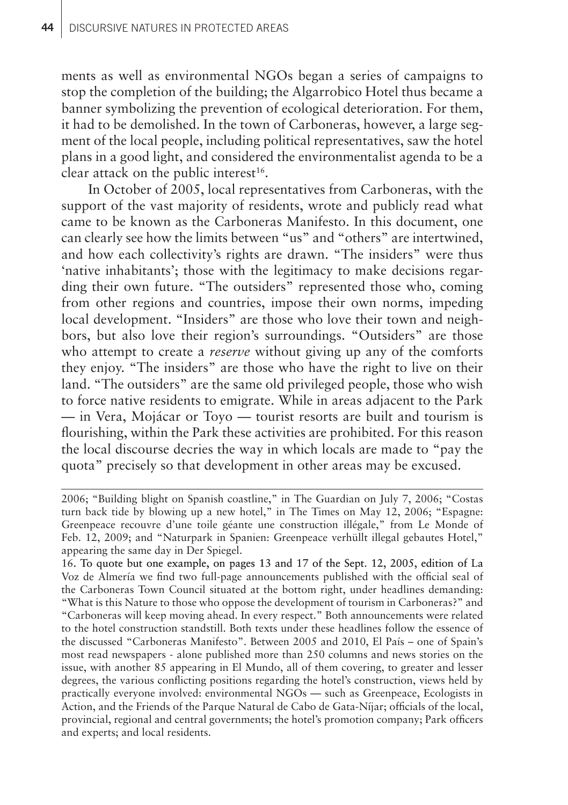ments as well as environmental NGOs began a series of campaigns to stop the completion of the building; the Algarrobico Hotel thus became a banner symbolizing the prevention of ecological deterioration. For them, it had to be demolished. In the town of Carboneras, however, a large segment of the local people, including political representatives, saw the hotel plans in a good light, and considered the environmentalist agenda to be a clear attack on the public interest<sup>16</sup>.

In October of 2005, local representatives from Carboneras, with the support of the vast majority of residents, wrote and publicly read what came to be known as the Carboneras Manifesto. In this document, one can clearly see how the limits between "us" and "others" are intertwined, and how each collectivity's rights are drawn. "The insiders" were thus 'native inhabitants'; those with the legitimacy to make decisions regarding their own future. "The outsiders" represented those who, coming from other regions and countries, impose their own norms, impeding local development. "Insiders" are those who love their town and neighbors, but also love their region's surroundings. "Outsiders" are those who attempt to create a *reserve* without giving up any of the comforts they enjoy. "The insiders" are those who have the right to live on their land. "The outsiders" are the same old privileged people, those who wish to force native residents to emigrate. While in areas adjacent to the Park — in Vera, Mojácar or Toyo — tourist resorts are built and tourism is flourishing, within the Park these activities are prohibited. For this reason the local discourse decries the way in which locals are made to "pay the quota" precisely so that development in other areas may be excused.

<sup>2006; &</sup>quot;Building blight on Spanish coastline," in The Guardian on July 7, 2006; "Costas turn back tide by blowing up a new hotel," in The Times on May 12, 2006; "Espagne: Greenpeace recouvre d'une toile géante une construction illégale," from Le Monde of Feb. 12, 2009; and "Naturpark in Spanien: Greenpeace verhüllt illegal gebautes Hotel," appearing the same day in Der Spiegel.

<sup>16.</sup> To quote but one example, on pages 13 and 17 of the Sept. 12, 2005, edition of La . Voz de Almería we find two full-page announcements published with the official seal of the Carboneras Town Council situated at the bottom right, under headlines demanding: "What is this Nature to those who oppose the development of tourism in Carboneras?" and "Carboneras will keep moving ahead. In every respect." Both announcements were related to the hotel construction standstill. Both texts under these headlines follow the essence of the discussed "Carboneras Manifesto". Between 2005 and 2010, El País – one of Spain's most read newspapers - alone published more than 250 columns and news stories on the issue, with another 85 appearing in El Mundo, all of them covering, to greater and lesser degrees, the various conflicting positions regarding the hotel's construction, views held by practically everyone involved: environmental NGOs — such as Greenpeace, Ecologists in Action, and the Friends of the Parque Natural de Cabo de Gata-Níjar; officials of the local, provincial, regional and central governments; the hotel's promotion company; Park officers and experts; and local residents.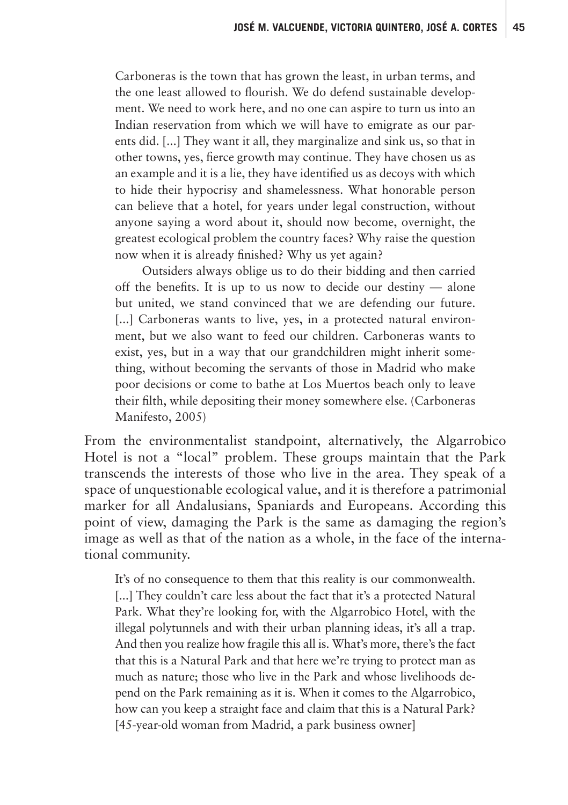Carboneras is the town that has grown the least, in urban terms, and the one least allowed to flourish. We do defend sustainable development. We need to work here, and no one can aspire to turn us into an Indian reservation from which we will have to emigrate as our parents did. [...] They want it all, they marginalize and sink us, so that in other towns, yes, fierce growth may continue. They have chosen us as an example and it is a lie, they have identified us as decoys with which to hide their hypocrisy and shamelessness. What honorable person can believe that a hotel, for years under legal construction, without anyone saying a word about it, should now become, overnight, the greatest ecological problem the country faces? Why raise the question now when it is already finished? Why us yet again?

Outsiders always oblige us to do their bidding and then carried off the benefits. It is up to us now to decide our destiny — alone but united, we stand convinced that we are defending our future. [...] Carboneras wants to live, yes, in a protected natural environment, but we also want to feed our children. Carboneras wants to exist, yes, but in a way that our grandchildren might inherit something, without becoming the servants of those in Madrid who make poor decisions or come to bathe at Los Muertos beach only to leave their filth, while depositing their money somewhere else. (Carboneras Manifesto, 2005)

From the environmentalist standpoint, alternatively, the Algarrobico Hotel is not a "local" problem. These groups maintain that the Park transcends the interests of those who live in the area. They speak of a space of unquestionable ecological value, and it is therefore a patrimonial marker for all Andalusians, Spaniards and Europeans. According this point of view, damaging the Park is the same as damaging the region's image as well as that of the nation as a whole, in the face of the international community.

It's of no consequence to them that this reality is our commonwealth. [...] They couldn't care less about the fact that it's a protected Natural Park. What they're looking for, with the Algarrobico Hotel, with the illegal polytunnels and with their urban planning ideas, it's all a trap. And then you realize how fragile this all is. What's more, there's the fact that this is a Natural Park and that here we're trying to protect man as much as nature; those who live in the Park and whose livelihoods depend on the Park remaining as it is. When it comes to the Algarrobico, how can you keep a straight face and claim that this is a Natural Park? [45-year-old woman from Madrid, a park business owner]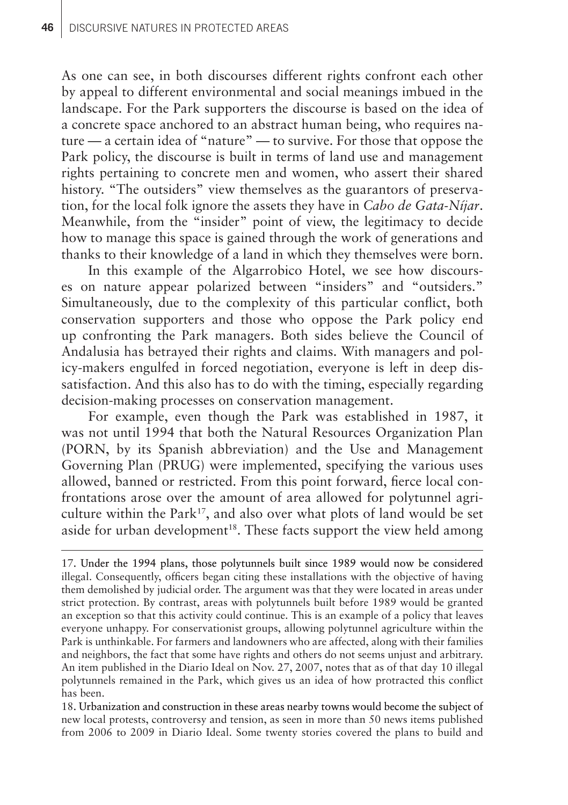As one can see, in both discourses different rights confront each other by appeal to different environmental and social meanings imbued in the landscape. For the Park supporters the discourse is based on the idea of a concrete space anchored to an abstract human being, who requires nature — a certain idea of "nature" — to survive. For those that oppose the Park policy, the discourse is built in terms of land use and management rights pertaining to concrete men and women, who assert their shared history. "The outsiders" view themselves as the guarantors of preservation, for the local folk ignore the assets they have in *Cabo de Gata-Níjar*. Meanwhile, from the "insider" point of view, the legitimacy to decide how to manage this space is gained through the work of generations and thanks to their knowledge of a land in which they themselves were born.

In this example of the Algarrobico Hotel, we see how discourses on nature appear polarized between "insiders" and "outsiders." Simultaneously, due to the complexity of this particular conflict, both conservation supporters and those who oppose the Park policy end up confronting the Park managers. Both sides believe the Council of Andalusia has betrayed their rights and claims. With managers and policy-makers engulfed in forced negotiation, everyone is left in deep dissatisfaction. And this also has to do with the timing, especially regarding decision-making processes on conservation management.

For example, even though the Park was established in 1987, it was not until 1994 that both the Natural Resources Organization Plan (PORN, by its Spanish abbreviation) and the Use and Management Governing Plan (PRUG) were implemented, specifying the various uses allowed, banned or restricted. From this point forward, fierce local confrontations arose over the amount of area allowed for polytunnel agriculture within the Park<sup>17</sup>, and also over what plots of land would be set aside for urban development<sup>18</sup>. These facts support the view held among

17. Under the 1994 plans, those polytunnels built since 1989 would now be considered . illegal. Consequently, officers began citing these installations with the objective of having them demolished by judicial order. The argument was that they were located in areas under strict protection. By contrast, areas with polytunnels built before 1989 would be granted an exception so that this activity could continue. This is an example of a policy that leaves everyone unhappy. For conservationist groups, allowing polytunnel agriculture within the Park is unthinkable. For farmers and landowners who are affected, along with their families and neighbors, the fact that some have rights and others do not seems unjust and arbitrary. An item published in the Diario Ideal on Nov. 27, 2007, notes that as of that day 10 illegal polytunnels remained in the Park, which gives us an idea of how protracted this conflict has been.

18. Urbanization and construction in these areas nearby towns would become the subject of . new local protests, controversy and tension, as seen in more than 50 news items published from 2006 to 2009 in Diario Ideal. Some twenty stories covered the plans to build and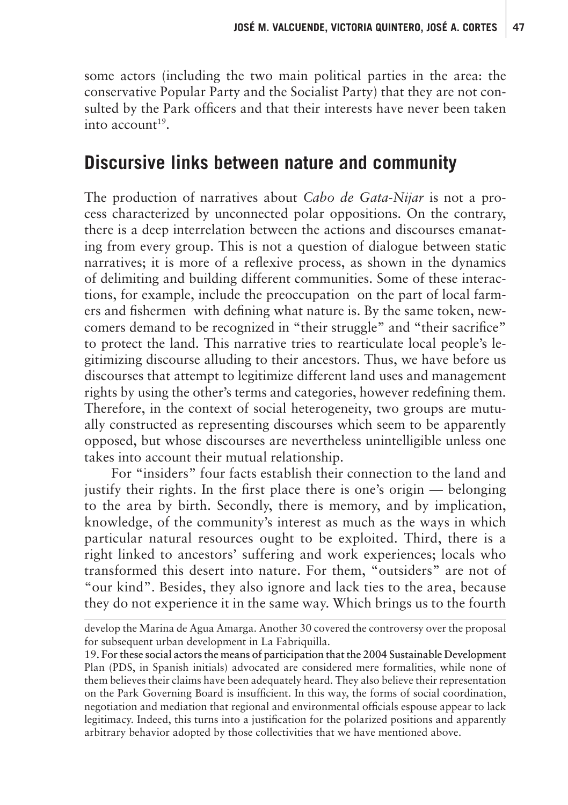some actors (including the two main political parties in the area: the conservative Popular Party and the Socialist Party) that they are not consulted by the Park officers and that their interests have never been taken  $into$  account<sup>19</sup>.

#### **Discursive links between nature and community**

The production of narratives about *Cabo de Gata-Nijar* is not a process characterized by unconnected polar oppositions. On the contrary, there is a deep interrelation between the actions and discourses emanating from every group. This is not a question of dialogue between static narratives; it is more of a reflexive process, as shown in the dynamics of delimiting and building different communities. Some of these interactions, for example, include the preoccupation on the part of local farmers and fishermen—with defining what nature is. By the same token, newcomers demand to be recognized in "their struggle" and "their sacrifice" to protect the land. This narrative tries to rearticulate local people's legitimizing discourse alluding to their ancestors. Thus, we have before us discourses that attempt to legitimize different land uses and management rights by using the other's terms and categories, however redefining them. Therefore, in the context of social heterogeneity, two groups are mutually constructed as representing discourses which seem to be apparently opposed, but whose discourses are nevertheless unintelligible unless one takes into account their mutual relationship.

For "insiders" four facts establish their connection to the land and justify their rights. In the first place there is one's origin — belonging to the area by birth. Secondly, there is memory, and by implication, knowledge, of the community's interest as much as the ways in which particular natural resources ought to be exploited. Third, there is a right linked to ancestors' suffering and work experiences; locals who transformed this desert into nature. For them, "outsiders" are not of "our kind". Besides, they also ignore and lack ties to the area, because they do not experience it in the same way. Which brings us to the fourth

develop the Marina de Agua Amarga. Another 30 covered the controversy over the proposal for subsequent urban development in La Fabriquilla.

<sup>19.</sup> For these social actors the means of participation that the 2004 Sustainable Development . Plan (PDS, in Spanish initials) advocated are considered mere formalities, while none of them believes their claims have been adequately heard. They also believe their representation on the Park Governing Board is insufficient. In this way, the forms of social coordination, negotiation and mediation that regional and environmental officials espouse appear to lack legitimacy. Indeed, this turns into a justification for the polarized positions and apparently arbitrary behavior adopted by those collectivities that we have mentioned above.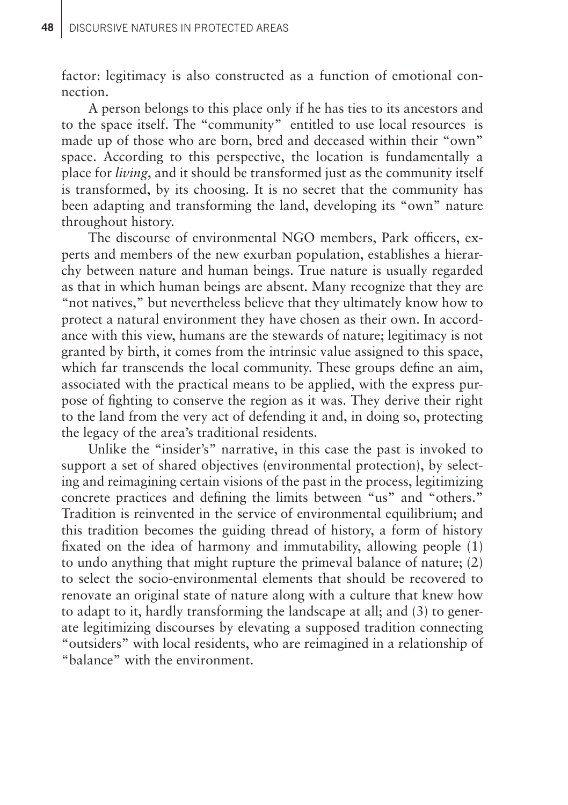factor: legitimacy is also constructed as a function of emotional connection.

A person belongs to this place only if he has ties to its ancestors and to the space itself. The "community" entitled to use local resources is made up of those who are born, bred and deceased within their "own" space. According to this perspective, the location is fundamentally a place for *living*, and it should be transformed just as the community itself is transformed, by its choosing. It is no secret that the community has been adapting and transforming the land, developing its "own" nature throughout history.

The discourse of environmental NGO members, Park officers, experts and members of the new exurban population, establishes a hierarchy between nature and human beings. True nature is usually regarded as that in which human beings are absent. Many recognize that they are "not natives," but nevertheless believe that they ultimately know how to protect a natural environment they have chosen as their own. In accordance with this view, humans are the stewards of nature; legitimacy is not granted by birth, it comes from the intrinsic value assigned to this space, which far transcends the local community. These groups define an aim, associated with the practical means to be applied, with the express purpose of fighting to conserve the region as it was. They derive their right to the land from the very act of defending it and, in doing so, protecting the legacy of the area's traditional residents.

Unlike the "insider's" narrative, in this case the past is invoked to support a set of shared objectives (environmental protection), by selecting and reimagining certain visions of the past in the process, legitimizing concrete practices and defining the limits between "us" and "others." Tradition is reinvented in the service of environmental equilibrium; and this tradition becomes the guiding thread of history, a form of history fixated on the idea of harmony and immutability, allowing people (1) to undo anything that might rupture the primeval balance of nature; (2) to select the socio-environmental elements that should be recovered to renovate an original state of nature along with a culture that knew how to adapt to it, hardly transforming the landscape at all; and (3) to generate legitimizing discourses by elevating a supposed tradition connecting "outsiders" with local residents, who are reimagined in a relationship of "balance" with the environment.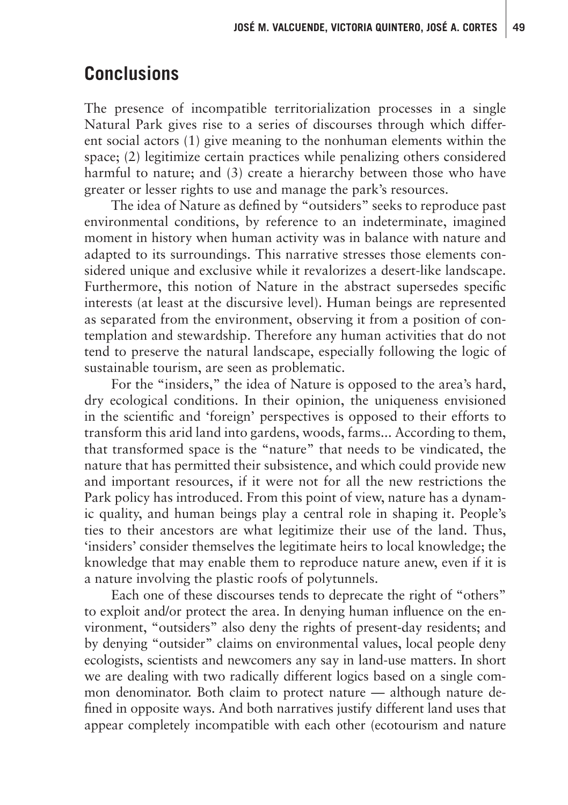## **Conclusions**

The presence of incompatible territorialization processes in a single Natural Park gives rise to a series of discourses through which different social actors (1) give meaning to the nonhuman elements within the space; (2) legitimize certain practices while penalizing others considered harmful to nature; and (3) create a hierarchy between those who have greater or lesser rights to use and manage the park's resources.

The idea of Nature as defined by "outsiders" seeks to reproduce past environmental conditions, by reference to an indeterminate, imagined moment in history when human activity was in balance with nature and adapted to its surroundings. This narrative stresses those elements considered unique and exclusive while it revalorizes a desert-like landscape. Furthermore, this notion of Nature in the abstract supersedes specific interests (at least at the discursive level). Human beings are represented as separated from the environment, observing it from a position of contemplation and stewardship. Therefore any human activities that do not tend to preserve the natural landscape, especially following the logic of sustainable tourism, are seen as problematic.

For the "insiders," the idea of Nature is opposed to the area's hard, dry ecological conditions. In their opinion, the uniqueness envisioned in the scientific and 'foreign' perspectives is opposed to their efforts to transform this arid land into gardens, woods, farms... According to them, that transformed space is the "nature" that needs to be vindicated, the nature that has permitted their subsistence, and which could provide new and important resources, if it were not for all the new restrictions the Park policy has introduced. From this point of view, nature has a dynamic quality, and human beings play a central role in shaping it. People's ties to their ancestors are what legitimize their use of the land. Thus, 'insiders' consider themselves the legitimate heirs to local knowledge; the knowledge that may enable them to reproduce nature anew, even if it is a nature involving the plastic roofs of polytunnels.

Each one of these discourses tends to deprecate the right of "others" to exploit and/or protect the area. In denying human influence on the environment, "outsiders" also deny the rights of present-day residents; and by denying "outsider" claims on environmental values, local people deny ecologists, scientists and newcomers any say in land-use matters. In short we are dealing with two radically different logics based on a single common denominator. Both claim to protect nature — although nature defined in opposite ways. And both narratives justify different land uses that appear completely incompatible with each other (ecotourism and nature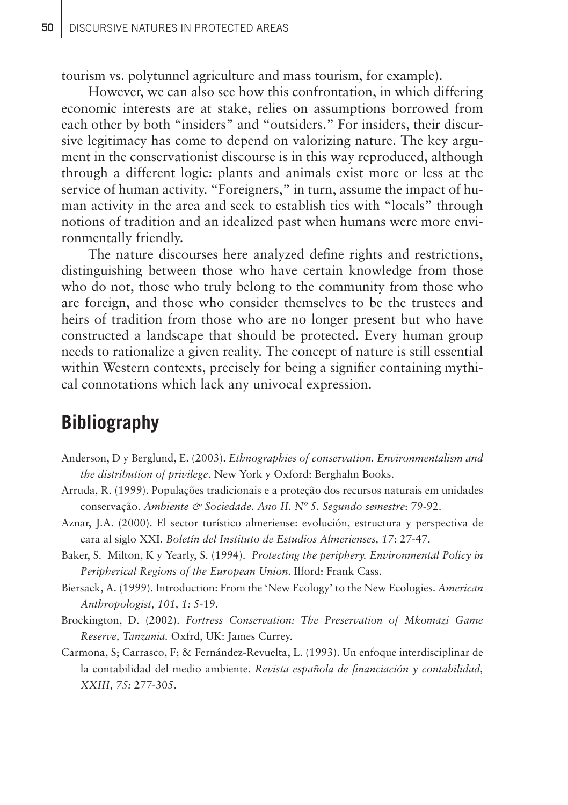tourism vs. polytunnel agriculture and mass tourism, for example).

However, we can also see how this confrontation, in which differing economic interests are at stake, relies on assumptions borrowed from each other by both "insiders" and "outsiders." For insiders, their discursive legitimacy has come to depend on valorizing nature. The key argument in the conservationist discourse is in this way reproduced, although through a different logic: plants and animals exist more or less at the service of human activity. "Foreigners," in turn, assume the impact of human activity in the area and seek to establish ties with "locals" through notions of tradition and an idealized past when humans were more environmentally friendly.

The nature discourses here analyzed define rights and restrictions, distinguishing between those who have certain knowledge from those who do not, those who truly belong to the community from those who are foreign, and those who consider themselves to be the trustees and heirs of tradition from those who are no longer present but who have constructed a landscape that should be protected. Every human group needs to rationalize a given reality. The concept of nature is still essential within Western contexts, precisely for being a signifier containing mythical connotations which lack any univocal expression.

## **Bibliography**

- Anderson, D y Berglund, E. (2003). *Ethnographies of conservation. Environmentalism and the distribution of privilege*. New York y Oxford: Berghahn Books.
- Arruda, R. (1999). Populações tradicionais e a proteção dos recursos naturais em unidades conservação. *Ambiente & Sociedade. Ano II. Nº 5. Segundo semestre*: 79-92.
- Aznar, J.A. (2000). El sector turístico almeriense: evolución, estructura y perspectiva de cara al siglo XXI. *Boletín del Instituto de Estudios Almerienses, 17*: 27-47.
- Baker, S. Milton, K y Yearly, S. (1994). *Protecting the periphery. Environmental Policy in Peripherical Regions of the European Union*. Ilford: Frank Cass.
- Biersack, A. (1999). Introduction: From the 'New Ecology' to the New Ecologies. *American Anthropologist, 101, 1:* 5-19.
- Brockington, D. (2002). *Fortress Conservation: The Preservation of Mkomazi Game Reserve, Tanzania.* Oxfrd, UK: James Currey.
- Carmona, S; Carrasco, F; & Fernández-Revuelta, L. (1993). Un enfoque interdisciplinar de la contabilidad del medio ambiente. *Revista española de financiación y contabilidad, XXIII, 75:* 277-305.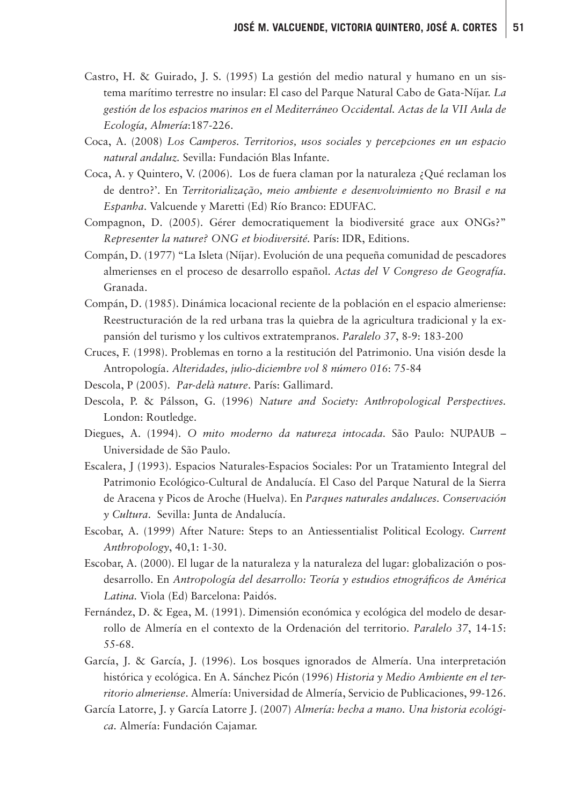- Castro, H. & Guirado, J. S. (1995) La gestión del medio natural y humano en un sistema marítimo terrestre no insular: El caso del Parque Natural Cabo de Gata-Níjar. *La gestión de los espacios marinos en el Mediterráneo Occidental. Actas de la VII Aula de Ecología, Almería*:187-226.
- Coca, A. (2008) *Los Camperos. Territorios, usos sociales y percepciones en un espacio natural andaluz.* Sevilla: Fundación Blas Infante.
- Coca, A. y Quintero, V. (2006). Los de fuera claman por la naturaleza ¿Qué reclaman los de dentro?'. En *Territorialização, meio ambiente e desenvolvimiento no Brasil e na Espanha*. Valcuende y Maretti (Ed) Río Branco: EDUFAC.
- Compagnon, D. (2005). Gérer democratiquement la biodiversité grace aux ONGs?" *Representer la nature? ONG et biodiversité.* París: IDR, Editions.
- Compán, D. (1977) "La Isleta (Níjar). Evolución de una pequeña comunidad de pescadores almerienses en el proceso de desarrollo español. *Actas del V Congreso de Geografía*. Granada.
- Compán, D. (1985). Dinámica locacional reciente de la población en el espacio almeriense: Reestructuración de la red urbana tras la quiebra de la agricultura tradicional y la expansión del turismo y los cultivos extratempranos. *Paralelo 37*, 8-9: 183-200
- Cruces, F. (1998). Problemas en torno a la restitución del Patrimonio. Una visión desde la Antropología. *Alteridades, julio-diciembre vol 8 número 016*: 75-84
- Descola, P (2005). *Par-delà nature*. París: Gallimard.
- Descola, P. & Pálsson, G. (1996) *Nature and Society: Anthropological Perspectives.*  London: Routledge.
- Diegues, A. (1994). *O mito moderno da natureza intocada.* São Paulo: NUPAUB Universidade de São Paulo.
- Escalera, J (1993). Espacios Naturales-Espacios Sociales: Por un Tratamiento Integral del Patrimonio Ecológico-Cultural de Andalucía. El Caso del Parque Natural de la Sierra de Aracena y Picos de Aroche (Huelva). En *Parques naturales andaluces. Conservación y Cultura*. Sevilla: Junta de Andalucía.
- Escobar, A. (1999) After Nature: Steps to an Antiessentialist Political Ecology. *Current Anthropology*, 40,1: 1-30.
- Escobar, A. (2000). El lugar de la naturaleza y la naturaleza del lugar: globalización o posdesarrollo. En *Antropología del desarrollo: Teoría y estudios etnográficos de América Latina.* Viola (Ed) Barcelona: Paidós.
- Fernández, D. & Egea, M. (1991). Dimensión económica y ecológica del modelo de desarrollo de Almería en el contexto de la Ordenación del territorio. *Paralelo 37*, 14-15: 55-68.
- García, J. & García, J. (1996). Los bosques ignorados de Almería. Una interpretación histórica y ecológica. En A. Sánchez Picón (1996) *Historia y Medio Ambiente en el territorio almeriense*. Almería: Universidad de Almería, Servicio de Publicaciones, 99-126.
- García Latorre, J. y García Latorre J. (2007) *Almería: hecha a mano. Una historia ecológica.* Almería: Fundación Cajamar.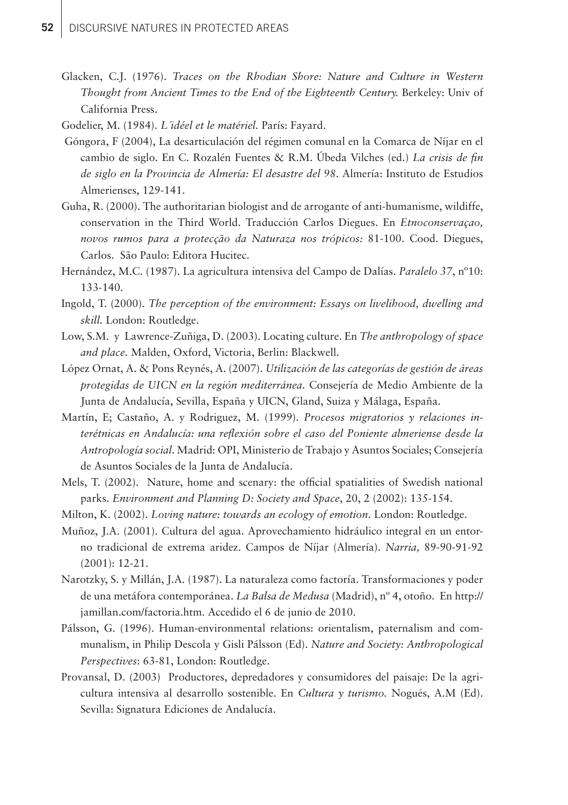- Glacken, C.J. (1976). *Traces on the Rhodian Shore: Nature and Culture in Western Thought from Ancient Times to the End of the Eighteenth Century.* Berkeley: Univ of California Press.
- Godelier, M. (1984). *L´idéel et le matériel.* París: Fayard.
- Góngora, F (2004), La desarticulación del régimen comunal en la Comarca de Níjar en el cambio de siglo. En C. Rozalén Fuentes & R.M. Úbeda Vilches (ed.) *La crisis de fin de siglo en la Provincia de Almería: El desastre del 98*. Almería: Instituto de Estudios Almerienses, 129-141.
- Guha, R. (2000). The authoritarian biologist and de arrogante of anti-humanisme, wildiffe, conservation in the Third World. Traducción Carlos Diegues. En *Etnoconservaçao, novos rumos para a protecção da Naturaza nos trópicos:* 81-100. Cood. Diegues, Carlos. São Paulo: Editora Hucitec.
- Hernández, M.C. (1987). La agricultura intensiva del Campo de Dalías. *Paralelo 37*, nº10: 133-140.
- Ingold, T. (2000). *The perception of the environment: Essays on livelihood, dwelling and skill.* London: Routledge.
- Low, S.M. y Lawrence-Zuñiga, D. (2003). Locating culture. En *The anthropology of space and place.* Malden, Oxford, Victoria, Berlin: Blackwell.
- López Ornat, A. & Pons Reynés, A. (2007). *Utilización de las categorías de gestión de áreas protegidas de UICN en la región mediterránea.* Consejería de Medio Ambiente de la Junta de Andalucía, Sevilla, España y UICN, Gland, Suiza y Málaga, España.
- Martín, E; Castaño, A. y Rodriguez, M. (1999). *Procesos migratorios y relaciones interétnicas en Andalucía: una reflexión sobre el caso del Poniente almeriense desde la Antropología social*. Madrid: OPI, Ministerio de Trabajo y Asuntos Sociales; Consejería de Asuntos Sociales de la Junta de Andalucía.
- Mels, T. (2002). Nature, home and scenary: the official spatialities of Swedish national parks. *Environment and Planning D: Society and Space*, 20, 2 (2002): 135-154.
- Milton, K. (2002). *Loving nature: towards an ecology of emotion*. London: Routledge.
- Muñoz, J.A. (2001). Cultura del agua. Aprovechamiento hidráulico integral en un entorno tradicional de extrema aridez. Campos de Níjar (Almería). *Narria,* 89-90-91-92 (2001): 12-21.
- Narotzky, S. y Millán, J.A. (1987). La naturaleza como factoría. Transformaciones y poder de una metáfora contemporánea. *La Balsa de Medusa* (Madrid), nº 4, otoño. En http:// jamillan.com/factoria.htm. Accedido el 6 de junio de 2010.
- Pálsson, G. (1996). Human-environmental relations: orientalism, paternalism and communalism, in Philip Descola y Gisli Pálsson (Ed). *Nature and Society: Anthropological Perspectives*: 63-81, London: Routledge.
- Provansal, D. (2003) Productores, depredadores y consumidores del paisaje: De la agricultura intensiva al desarrollo sostenible. En *Cultura y turismo.* Nogués, A.M (Ed). Sevilla: Signatura Ediciones de Andalucía.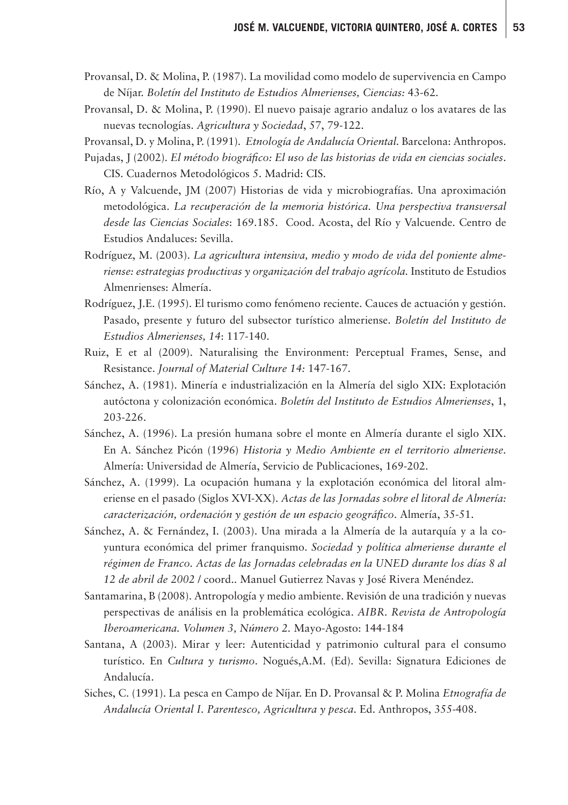- Provansal, D. & Molina, P. (1987). La movilidad como modelo de supervivencia en Campo de Níjar. *Boletín del Instituto de Estudios Almerienses, Ciencias:* 43-62.
- Provansal, D. & Molina, P. (1990). El nuevo paisaje agrario andaluz o los avatares de las nuevas tecnologías. *Agricultura y Sociedad*, 57, 79-122.
- Provansal, D. y Molina, P. (1991). *Etnología de Andalucía Oriental.* Barcelona: Anthropos.
- Pujadas, J (2002). *El método biográfico: El uso de las historias de vida en ciencias sociales*. CIS. Cuadernos Metodológicos 5. Madrid: CIS.
- Río, A y Valcuende, JM (2007) Historias de vida y microbiografías. Una aproximación metodológica. *La recuperación de la memoria histórica. Una perspectiva transversal desde las Ciencias Sociales*: 169.185. Cood. Acosta, del Río y Valcuende. Centro de Estudios Andaluces: Sevilla.
- Rodríguez, M. (2003). *La agricultura intensiva, medio y modo de vida del poniente almeriense: estrategias productivas y organización del trabajo agrícola.* Instituto de Estudios Almenrienses: Almería.
- Rodríguez, J.E. (1995). El turismo como fenómeno reciente. Cauces de actuación y gestión. Pasado, presente y futuro del subsector turístico almeriense. *Boletín del Instituto de Estudios Almerienses, 14*: 117-140.
- Ruiz, E et al (2009). Naturalising the Environment: Perceptual Frames, Sense, and Resistance. *Journal of Material Culture 14:* 147-167.
- Sánchez, A. (1981). Minería e industrialización en la Almería del siglo XIX: Explotación autóctona y colonización económica. *Boletín del Instituto de Estudios Almerienses*, 1, 203-226.
- Sánchez, A. (1996). La presión humana sobre el monte en Almería durante el siglo XIX. En A. Sánchez Picón (1996) *Historia y Medio Ambiente en el territorio almeriense*. Almería: Universidad de Almería, Servicio de Publicaciones, 169-202.
- Sánchez, A. (1999). La ocupación humana y la explotación económica del litoral almeriense en el pasado (Siglos XVI-XX). *Actas de las Jornadas sobre el litoral de Almería: caracterización, ordenación y gestión de un espacio geográfico*. Almería, 35-51.
- Sánchez, A. & Fernández, I. (2003). Una mirada a la Almería de la autarquía y a la coyuntura económica del primer franquismo. *Sociedad y política almeriense durante el régimen de Franco. Actas de las Jornadas celebradas en la UNED durante los días 8 al 12 de abril de 2002* / coord.. Manuel Gutierrez Navas y José Rivera Menéndez.
- Santamarina, B (2008). Antropología y medio ambiente. Revisión de una tradición y nuevas perspectivas de análisis en la problemática ecológica. *AIBR. Revista de Antropología Iberoamericana. Volumen 3, Número 2.* Mayo-Agosto: 144-184
- Santana, A (2003). Mirar y leer: Autenticidad y patrimonio cultural para el consumo turístico. En *Cultura y turismo*. Nogués,A.M. (Ed). Sevilla: Signatura Ediciones de Andalucía.
- Siches, C. (1991). La pesca en Campo de Níjar. En D. Provansal & P. Molina *Etnografía de Andalucía Oriental I. Parentesco, Agricultura y pesca.* Ed. Anthropos, 355-408.